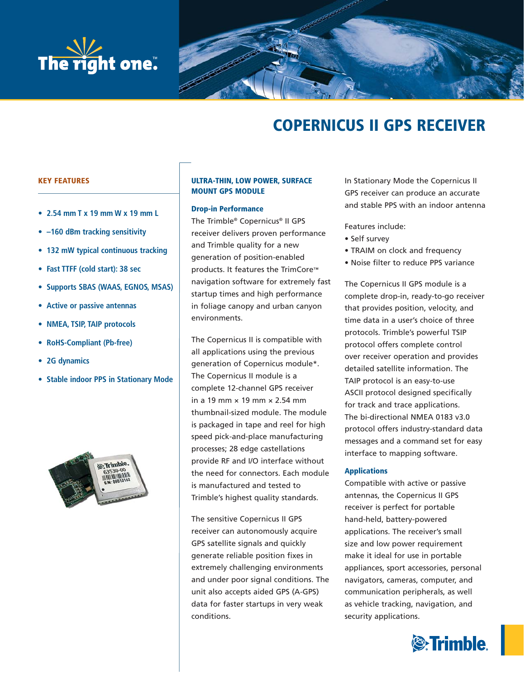



# **COPERNICUS II GPS RECEIVER**

# **KEY FEATURES**

- **2.54 mm T x 19 mm W x 19 mm L**
- **–160 dBm tracking sensitivity**
- **132 mW typical continuous tracking**
- **Fast TTFF (cold start): 38 sec**
- **Supports SBAS (WAAS, EGNOS, MSAS)**
- **Active or passive antennas**
- **NMEA, TSIP, TAIP protocols**
- **RoHS-Compliant (Pb-free)**
- **2G dynamics**
- **Stable indoor PPS in Stationary Mode**



# **ULTRA-THIN, LOW POWER, SURFACE MOUNT GPS MODULE**

# **Drop-in Performance**

The Trimble® Copernicus® II GPS receiver delivers proven performance and Trimble quality for a new generation of position-enabled products. It features the TrimCore™ navigation software for extremely fast startup times and high performance in foliage canopy and urban canyon environments.

The Copernicus II is compatible with all applications using the previous generation of Copernicus module\*. The Copernicus II module is a complete 12-channel GPS receiver in a 19 mm × 19 mm × 2.54 mm thumbnail-sized module. The module is packaged in tape and reel for high speed pick-and-place manufacturing processes; 28 edge castellations provide RF and I/O interface without the need for connectors. Each module is manufactured and tested to Trimble's highest quality standards.

The sensitive Copernicus II GPS receiver can autonomously acquire GPS satellite signals and quickly generate reliable position fixes in extremely challenging environments and under poor signal conditions. The unit also accepts aided GPS (A-GPS) data for faster startups in very weak conditions.

In Stationary Mode the Copernicus II GPS receiver can produce an accurate and stable PPS with an indoor antenna

Features include:

- Self survey
- TRAIM on clock and frequency
- Noise filter to reduce PPS variance

The Copernicus II GPS module is a complete drop-in, ready-to-go receiver that provides position, velocity, and time data in a user's choice of three protocols. Trimble's powerful TSIP protocol offers complete control over receiver operation and provides detailed satellite information. The TAIP protocol is an easy-to-use ASCII protocol designed specifically for track and trace applications. The bi-directional NMEA 0183 v3.0 protocol offers industry-standard data messages and a command set for easy interface to mapping software.

# **Applications**

Compatible with active or passive antennas, the Copernicus II GPS receiver is perfect for portable hand-held, battery-powered applications. The receiver's small size and low power requirement make it ideal for use in portable appliances, sport accessories, personal navigators, cameras, computer, and communication peripherals, as well as vehicle tracking, navigation, and security applications.